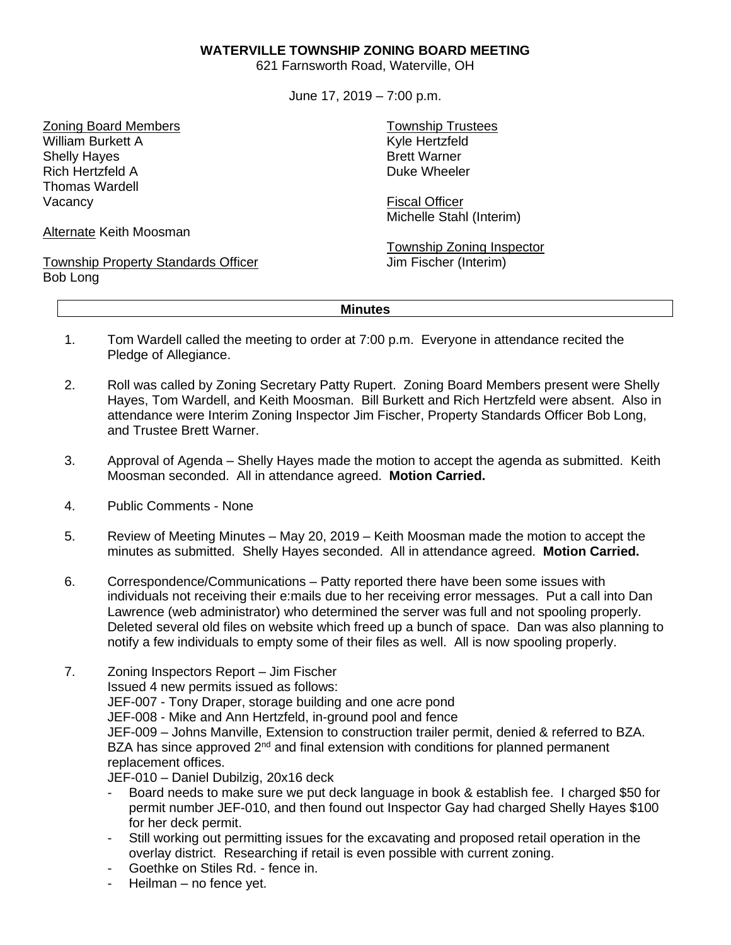## **WATERVILLE TOWNSHIP ZONING BOARD MEETING**

621 Farnsworth Road, Waterville, OH

June 17, 2019 – 7:00 p.m.

Zoning Board Members William Burkett A Shelly Hayes Rich Hertzfeld A Thomas Wardell Vacancy

Alternate Keith Moosman

Township Property Standards Officer Bob Long

Township Trustees Kyle Hertzfeld Brett Warner Duke Wheeler

Fiscal Officer Michelle Stahl (Interim)

Township Zoning Inspector Jim Fischer (Interim)

## **Minutes**

- 1. Tom Wardell called the meeting to order at 7:00 p.m. Everyone in attendance recited the Pledge of Allegiance.
- 2. Roll was called by Zoning Secretary Patty Rupert. Zoning Board Members present were Shelly Hayes, Tom Wardell, and Keith Moosman. Bill Burkett and Rich Hertzfeld were absent. Also in attendance were Interim Zoning Inspector Jim Fischer, Property Standards Officer Bob Long, and Trustee Brett Warner.
- 3. Approval of Agenda Shelly Hayes made the motion to accept the agenda as submitted. Keith Moosman seconded. All in attendance agreed. **Motion Carried.**
- 4. Public Comments None
- 5. Review of Meeting Minutes May 20, 2019 Keith Moosman made the motion to accept the minutes as submitted. Shelly Hayes seconded. All in attendance agreed. **Motion Carried.**
- 6. Correspondence/Communications Patty reported there have been some issues with individuals not receiving their e:mails due to her receiving error messages. Put a call into Dan Lawrence (web administrator) who determined the server was full and not spooling properly. Deleted several old files on website which freed up a bunch of space. Dan was also planning to notify a few individuals to empty some of their files as well. All is now spooling properly.
- 7. Zoning Inspectors Report Jim Fischer Issued 4 new permits issued as follows:

JEF-007 - Tony Draper, storage building and one acre pond JEF-008 - Mike and Ann Hertzfeld, in-ground pool and fence JEF-009 – Johns Manville, Extension to construction trailer permit, denied & referred to BZA. BZA has since approved  $2^{nd}$  and final extension with conditions for planned permanent replacement offices.

JEF-010 – Daniel Dubilzig, 20x16 deck

- Board needs to make sure we put deck language in book & establish fee. I charged \$50 for permit number JEF-010, and then found out Inspector Gay had charged Shelly Hayes \$100 for her deck permit.
- Still working out permitting issues for the excavating and proposed retail operation in the overlay district. Researching if retail is even possible with current zoning.
- Goethke on Stiles Rd. fence in.
- Heilman no fence yet.